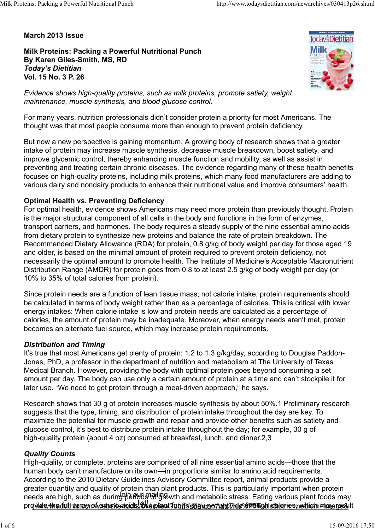March 2013 Issue

Milk Proteins: Packing a Powerful Nutritional Punch By Karen Giles-Smith, MS, RD Today's Dietitian Vol. 15 No. 3 P. 26



Evidence shows high-quality proteins, such as milk proteins, promote satiety, weight maintenance, muscle synthesis, and blood glucose control.

For many years, nutrition professionals didn't consider protein a priority for most Americans. The thought was that most people consume more than enough to prevent protein deficiency.

But now a new perspective is gaining momentum. A growing body of research shows that a greater intake of protein may increase muscle synthesis, decrease muscle breakdown, boost satiety, and improve glycemic control, thereby enhancing muscle function and mobility, as well as assist in preventing and treating certain chronic diseases. The evidence regarding many of these health benefits focuses on high-quality proteins, including milk proteins, which many food manufacturers are adding to various dairy and nondairy products to enhance their nutritional value and improve consumers' health.

## Optimal Health vs. Preventing Deficiency

For optimal health, evidence shows Americans may need more protein than previously thought. Protein is the major structural component of all cells in the body and functions in the form of enzymes, transport carriers, and hormones. The body requires a steady supply of the nine essential amino acids from dietary protein to synthesize new proteins and balance the rate of protein breakdown. The Recommended Dietary Allowance (RDA) for protein, 0.8 g/kg of body weight per day for those aged 19 and older, is based on the minimal amount of protein required to prevent protein deficiency, not necessarily the optimal amount to promote health. The Institute of Medicine's Acceptable Macronutrient Distribution Range (AMDR) for protein goes from 0.8 to at least 2.5 g/kg of body weight per day (or 10% to 35% of total calories from protein).

Since protein needs are a function of lean tissue mass, not calorie intake, protein requirements should be calculated in terms of body weight rather than as a percentage of calories. This is critical with lower energy intakes: When calorie intake is low and protein needs are calculated as a percentage of calories, the amount of protein may be inadequate. Moreover, when energy needs aren't met, protein becomes an alternate fuel source, which may increase protein requirements.

### Distribution and Timing

It's true that most Americans get plenty of protein: 1.2 to 1.3 g/kg/day, according to Douglas Paddon-Jones, PhD, a professor in the department of nutrition and metabolism at The University of Texas Medical Branch. However, providing the body with optimal protein goes beyond consuming a set amount per day. The body can use only a certain amount of protein at a time and can't stockpile it for later use. "We need to get protein through a meal-driven approach," he says.

Research shows that 30 g of protein increases muscle synthesis by about 50%.1 Preliminary research suggests that the type, timing, and distribution of protein intake throughout the day are key. To maximize the potential for muscle growth and repair and provide other benefits such as satiety and glucose control, it's best to distribute protein intake throughout the day; for example, 30 g of high-quality protein (about 4 oz) consumed at breakfast, lunch, and dinner.2,3

## Quality Counts

High-quality, or complete, proteins are comprised of all nine essential amino acids—those that the human body can't manufacture on its own—in proportions similar to amino acid requirements. According to the 2010 Dietary Guidelines Advisory Committee report, animal products provide a greater quantity and quality of protein than plant products. This is particularly important when protein needs are high, such as during<sup>o</sup>penuas of ligin with and metabolic stress. Eating various plant foods may prowide the full as regrof website acids, but plant foods source=to out le% 20Tough salaries, which may result Journal, The Holman Hotel Housand in the department of munition and metabolism at the onwealisy of reasons and the conditional and the system consuming a set amount per day. The body can use only a certain amount of protei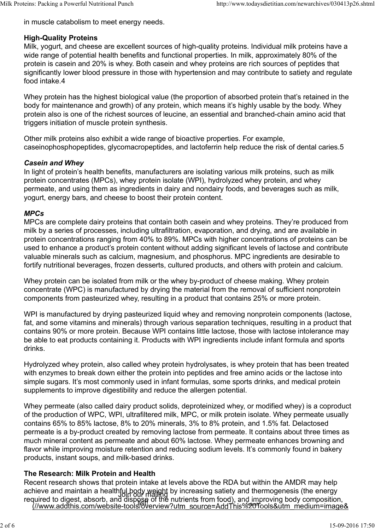in muscle catabolism to meet energy needs.

## High-Quality Proteins

Milk, yogurt, and cheese are excellent sources of high-quality proteins. Individual milk proteins have a wide range of potential health benefits and functional properties. In milk, approximately 80% of the protein is casein and 20% is whey. Both casein and whey proteins are rich sources of peptides that significantly lower blood pressure in those with hypertension and may contribute to satiety and regulate food intake.4 Milk Proteins: Packing a Powerful Nutritional Punch http://www.todaysdietitian.com/newarchives/030413p26.shtml<br>
in muscle catabolism to meet energy needs.<br> **High-Quality Proteins** 

Whey protein has the highest biological value (the proportion of absorbed protein that's retained in the body for maintenance and growth) of any protein, which means it's highly usable by the body. Whey protein also is one of the richest sources of leucine, an essential and branched-chain amino acid that triggers initiation of muscle protein synthesis.

Other milk proteins also exhibit a wide range of bioactive properties. For example, caseinophosphopeptides, glycomacropeptides, and lactoferrin help reduce the risk of dental caries.5

## Casein and Whey

In light of protein's health benefits, manufacturers are isolating various milk proteins, such as milk protein concentrates (MPCs), whey protein isolate (WPI), hydrolyzed whey protein, and whey permeate, and using them as ingredients in dairy and nondairy foods, and beverages such as milk, yogurt, energy bars, and cheese to boost their protein content.

## MPCs

MPCs are complete dairy proteins that contain both casein and whey proteins. They're produced from milk by a series of processes, including ultrafiltration, evaporation, and drying, and are available in protein concentrations ranging from 40% to 89%. MPCs with higher concentrations of proteins can be used to enhance a product's protein content without adding significant levels of lactose and contribute valuable minerals such as calcium, magnesium, and phosphorus. MPC ingredients are desirable to fortify nutritional beverages, frozen desserts, cultured products, and others with protein and calcium.

Whey protein can be isolated from milk or the whey by-product of cheese making. Whey protein concentrate (WPC) is manufactured by drying the material from the removal of sufficient nonprotein components from pasteurized whey, resulting in a product that contains 25% or more protein.

WPI is manufactured by drying pasteurized liquid whey and removing nonprotein components (lactose, fat, and some vitamins and minerals) through various separation techniques, resulting in a product that contains 90% or more protein. Because WPI contains little lactose, those with lactose intolerance may be able to eat products containing it. Products with WPI ingredients include infant formula and sports drinks.

Hydrolyzed whey protein, also called whey protein hydrolysates, is whey protein that has been treated with enzymes to break down either the protein into peptides and free amino acids or the lactose into simple sugars. It's most commonly used in infant formulas, some sports drinks, and medical protein supplements to improve digestibility and reduce the allergen potential.

Whey permeate (also called dairy product solids, deproteinized whey, or modified whey) is a coproduct of the production of WPC, WPI, ultrafiltered milk, MPC, or milk protein isolate. Whey permeate usually contains 65% to 85% lactose, 8% to 20% minerals, 3% to 8% protein, and 1.5% fat. Delactosed permeate is a by-product created by removing lactose from permeate. It contains about three times as much mineral content as permeate and about 60% lactose. Whey permeate enhances browning and flavor while improving moisture retention and reducing sodium levels. It's commonly found in bakery products, instant soups, and milk-based drinks. Hydrolyzed whey protein, also called whey protein hydrolysates, is whey protein that has been treated<br>with enzymes to break down either the protein into peptides and free armino acids or the lactose into<br>simple sugars. It'

### The Research: Milk Protein and Health

Recent research shows that protein intake at levels above the RDA but within the AMDR may help achieve and maintain a healthful body weight by increasing satiety and thermogenesis (the energy required to digest, absorb, and dispose of the nutrients from food), and improving body composition,<br>I//www.addthis.com/website-tools/overview?utm\_source=AddThis%20Tools&utm\_medium=image& Join our wailing by increasing sancty and memogr wst of the nutrients from loog), and improving body compos<br>Warangew?utm\_source=AddThis%%MTools&utm\_medium=i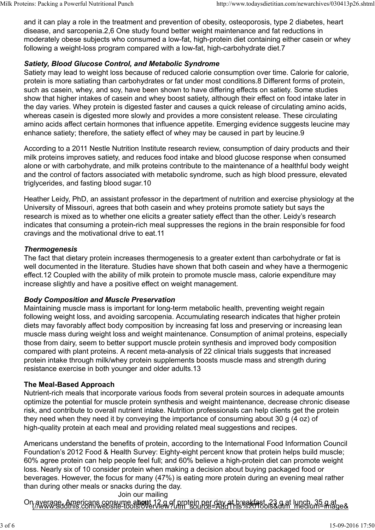and it can play a role in the treatment and prevention of obesity, osteoporosis, type 2 diabetes, heart disease, and sarcopenia.2,6 One study found better weight maintenance and fat reductions in moderately obese subjects who consumed a low-fat, high-protein diet containing either casein or whey following a weight-loss program compared with a low-fat, high-carbohydrate diet.7 Milk Proteins: Packing a Powerful Nutritional Punch<br>
and it can play a role in the treatment and prevention of obesity, osteoporosis, type 2 diabetes, heart<br>
disease, and sarcopenia.2,6 One study found better weight mainte

# Satiety, Blood Glucose Control, and Metabolic Syndrome

Satiety may lead to weight loss because of reduced calorie consumption over time. Calorie for calorie, protein is more satiating than carbohydrates or fat under most conditions.8 Different forms of protein, such as casein, whey, and soy, have been shown to have differing effects on satiety. Some studies show that higher intakes of casein and whey boost satiety, although their effect on food intake later in the day varies. Whey protein is digested faster and causes a quick release of circulating amino acids, whereas casein is digested more slowly and provides a more consistent release. These circulating amino acids affect certain hormones that influence appetite. Emerging evidence suggests leucine may enhance satiety; therefore, the satiety effect of whey may be caused in part by leucine.9

According to a 2011 Nestle Nutrition Institute research review, consumption of dairy products and their milk proteins improves satiety, and reduces food intake and blood glucose response when consumed alone or with carbohydrate, and milk proteins contribute to the maintenance of a healthful body weight and the control of factors associated with metabolic syndrome, such as high blood pressure, elevated triglycerides, and fasting blood sugar.10

Heather Leidy, PhD, an assistant professor in the department of nutrition and exercise physiology at the University of Missouri, agrees that both casein and whey proteins promote satiety but says the research is mixed as to whether one elicits a greater satiety effect than the other. Leidy's research indicates that consuming a protein-rich meal suppresses the regions in the brain responsible for food cravings and the motivational drive to eat.11

## **Thermogenesis**

The fact that dietary protein increases thermogenesis to a greater extent than carbohydrate or fat is well documented in the literature. Studies have shown that both casein and whey have a thermogenic effect.12 Coupled with the ability of milk protein to promote muscle mass, calorie expenditure may increase slightly and have a positive effect on weight management.

# Body Composition and Muscle Preservation

Maintaining muscle mass is important for long-term metabolic health, preventing weight regain following weight loss, and avoiding sarcopenia. Accumulating research indicates that higher protein diets may favorably affect body composition by increasing fat loss and preserving or increasing lean muscle mass during weight loss and weight maintenance. Consumption of animal proteins, especially those from dairy, seem to better support muscle protein synthesis and improved body composition compared with plant proteins. A recent meta-analysis of 22 clinical trials suggests that increased protein intake through milk/whey protein supplements boosts muscle mass and strength during resistance exercise in both younger and older adults.13

# The Meal-Based Approach

Nutrient-rich meals that incorporate various foods from several protein sources in adequate amounts optimize the potential for muscle protein synthesis and weight maintenance, decrease chronic disease risk, and contribute to overall nutrient intake. Nutrition professionals can help clients get the protein they need when they need it by conveying the importance of consuming about 30 g (4 oz) of high-quality protein at each meal and providing related meal suggestions and recipes.

Americans understand the benefits of protein, according to the International Food Information Council Foundation's 2012 Food & Health Survey: Eighty-eight percent know that protein helps build muscle; 60% agree protein can help people feel full; and 60% believe a high-protein diet can promote weight loss. Nearly six of 10 consider protein when making a decision about buying packaged food or beverages. However, the focus for many (47%) is eating more protein during an evening meal rather than during other meals or snacks during the day. Join our mailing resistance exercise in both younger and older adults.13<br>
The Meal-Based Approach<br>
Nutrient-rich meals that incorporate various foods from several protein sources in adequate amounts<br>
optimize the potential for muscle prote

On average, Americans consume a**bou**t 12 g of protein per day at breakfast, 23 g at lunch, 35 g at<br><u>(//Www.addthis.com/website-tools/overview?utm\_source=AddThis%20Tools&utm\_medium=image&</u>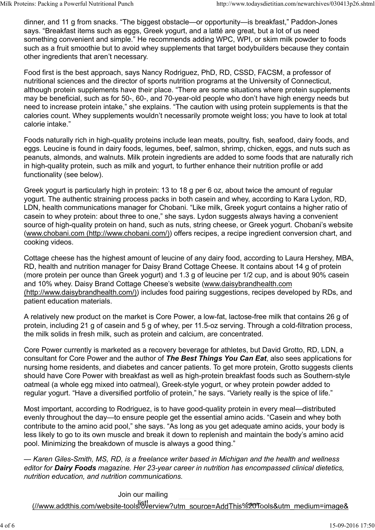dinner, and 11 g from snacks. "The biggest obstacle—or opportunity—is breakfast," Paddon-Jones says. "Breakfast items such as eggs, Greek yogurt, and a latté are great, but a lot of us need something convenient and simple." He recommends adding WPC, WPI, or skim milk powder to foods such as a fruit smoothie but to avoid whey supplements that target bodybuilders because they contain other ingredients that aren't necessary. Milk Proteins: Packing a Powerful Nutritional Punch http://www.todaysdietitian.com/newarchives/030413p26.shtml<br>dinner, and 11 g from snacks. "The biggest obstacle—or opportunity—is breakfast," Paddon-Jones<br>says. "Breakfast

Food first is the best approach, says Nancy Rodriguez, PhD, RD, CSSD, FACSM, a professor of nutritional sciences and the director of sports nutrition programs at the University of Connecticut, although protein supplements have their place. "There are some situations where protein supplements may be beneficial, such as for 50-, 60-, and 70-year-old people who don't have high energy needs but need to increase protein intake," she explains. "The caution with using protein supplements is that the calories count. Whey supplements wouldn't necessarily promote weight loss; you have to look at total calorie intake."

Foods naturally rich in high-quality proteins include lean meats, poultry, fish, seafood, dairy foods, and eggs. Leucine is found in dairy foods, legumes, beef, salmon, shrimp, chicken, eggs, and nuts such as peanuts, almonds, and walnuts. Milk protein ingredients are added to some foods that are naturally rich in high-quality protein, such as milk and yogurt, to further enhance their nutrition profile or add functionality (see below).

Greek yogurt is particularly high in protein: 13 to 18 g per 6 oz, about twice the amount of regular yogurt. The authentic straining process packs in both casein and whey, according to Kara Lydon, RD, LDN, health communications manager for Chobani. "Like milk, Greek yogurt contains a higher ratio of casein to whey protein: about three to one," she says. Lydon suggests always having a convenient source of high-quality protein on hand, such as nuts, string cheese, or Greek yogurt. Chobani's website (www.chobani.com (http://www.chobani.com/)) offers recipes, a recipe ingredient conversion chart, and cooking videos.

Cottage cheese has the highest amount of leucine of any dairy food, according to Laura Hershey, MBA, RD, health and nutrition manager for Daisy Brand Cottage Cheese. It contains about 14 g of protein (more protein per ounce than Greek yogurt) and 1.3 g of leucine per 1/2 cup, and is about 90% casein and 10% whey. Daisy Brand Cottage Cheese's website (www.daisybrandhealth.com (http://www.daisybrandhealth.com/)) includes food pairing suggestions, recipes developed by RDs, and patient education materials.

A relatively new product on the market is Core Power, a low-fat, lactose-free milk that contains 26 g of protein, including 21 g of casein and 5 g of whey, per 11.5-oz serving. Through a cold-filtration process, the milk solids in fresh milk, such as protein and calcium, are concentrated.

Core Power currently is marketed as a recovery beverage for athletes, but David Grotto, RD, LDN, a consultant for Core Power and the author of The Best Things You Can Eat, also sees applications for nursing home residents, and diabetes and cancer patients. To get more protein, Grotto suggests clients should have Core Power with breakfast as well as high-protein breakfast foods such as Southern-style oatmeal (a whole egg mixed into oatmeal), Greek-style yogurt, or whey protein powder added to regular yogurt. "Have a diversified portfolio of protein," he says. "Variety really is the spice of life."

Most important, according to Rodriguez, is to have good-quality protein in every meal—distributed evenly throughout the day—to ensure people get the essential amino acids. "Casein and whey both contribute to the amino acid pool," she says. "As long as you get adequate amino acids, your body is less likely to go to its own muscle and break it down to replenish and maintain the body's amino acid pool. Minimizing the breakdown of muscle is always a good thing." nursing home residents, and diabetes and cancer patients. To get more protein, Grotto suggests clients<br>should have Core Power with breakfast as well as high-protein breakfast foods such as Southern-style<br>oatmeal (a whole e

— Karen Giles-Smith, MS, RD, is a freelance writer based in Michigan and the health and wellness editor for Dairy Foods magazine. Her 23-year career in nutrition has encompassed clinical dietetics, nutrition education, and nutrition communications.

Join our mailing

(//www.addthis.com/website-tools/overview?utm\_source=AddThis%20'Tools&utm\_medium=image&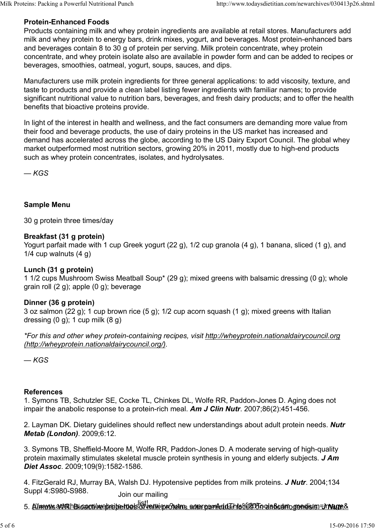# Protein-Enhanced Foods

Products containing milk and whey protein ingredients are available at retail stores. Manufacturers add milk and whey protein to energy bars, drink mixes, yogurt, and beverages. Most protein-enhanced bars and beverages contain 8 to 30 g of protein per serving. Milk protein concentrate, whey protein concentrate, and whey protein isolate also are available in powder form and can be added to recipes or beverages, smoothies, oatmeal, yogurt, soups, sauces, and dips. Milk Proteins: Packing a Powerful Nutritional Punch http://www.todaysdietitian.com/newarchives/030413p26.shtml<br> **Protein-Enhanced Foods**<br>
Products containing milk and whey protein ingredients are available at retail stores

Manufacturers use milk protein ingredients for three general applications: to add viscosity, texture, and taste to products and provide a clean label listing fewer ingredients with familiar names; to provide significant nutritional value to nutrition bars, beverages, and fresh dairy products; and to offer the health benefits that bioactive proteins provide.

In light of the interest in health and wellness, and the fact consumers are demanding more value from their food and beverage products, the use of dairy proteins in the US market has increased and demand has accelerated across the globe, according to the US Dairy Export Council. The global whey market outperformed most nutrition sectors, growing 20% in 2011, mostly due to high-end products such as whey protein concentrates, isolates, and hydrolysates.

 $-KGS$ 

## Sample Menu

30 g protein three times/day

## Breakfast (31 g protein)

Yogurt parfait made with 1 cup Greek yogurt (22 g), 1/2 cup granola (4 g), 1 banana, sliced (1 g), and 1/4 cup walnuts (4 g)

### Lunch (31 g protein)

1 1/2 cups Mushroom Swiss Meatball Soup\* (29 g); mixed greens with balsamic dressing (0 g); whole grain roll (2 g); apple (0 g); beverage

### Dinner (36 g protein)

3 oz salmon (22 g); 1 cup brown rice (5 g); 1/2 cup acorn squash (1 g); mixed greens with Italian dressing  $(0 g)$ ; 1 cup milk  $(8 g)$ 

\*For this and other whey protein-containing recipes, visit http://wheyprotein.nationaldairycouncil.org (http://wheyprotein.nationaldairycouncil.org/).

 $-KGS$ 

### References

1. Symons TB, Schutzler SE, Cocke TL, Chinkes DL, Wolfe RR, Paddon-Jones D. Aging does not impair the anabolic response to a protein-rich meal. Am J Clin Nutr. 2007;86(2):451-456.

2. Layman DK. Dietary guidelines should reflect new understandings about adult protein needs. Nutr Metab (London). 2009;6:12.

3. Symons TB, Sheffield-Moore M, Wolfe RR, Paddon-Jones D. A moderate serving of high-quality protein maximally stimulates skeletal muscle protein synthesis in young and elderly subjects. **J Am** Diet Assoc. 2009;109(9):1582-1586. References<br>
1. Symons TB, Schutzler SE, Cocke TL, Chinkes DL, Wolfe RR, Paddon-Jones D. Aging does not<br>
impair the anabolic response to a protein-rich meal. **Am J Clin Nutr**. 2007;86(2):451-456.<br>
2. Layman DK. Dietary guid

4. FitzGerald RJ, Murray BA, Walsh DJ. Hypotensive peptides from milk proteins. J Nutr. 2004;134 Suppl 4:S980-S988. Join our mailing

<sub>s.</sub> Aimutive addeth Bioactive epositeet ties of mailwepvoltelins actum ce<del>rvied dans 20To</del>ols&utmogenesis. In Nutre& J Nutre. In Nutre & J Nutre overview?utmanned. In Nutre B Nutre. In Nutre B Nutre. In Nutre. In Nutre. I